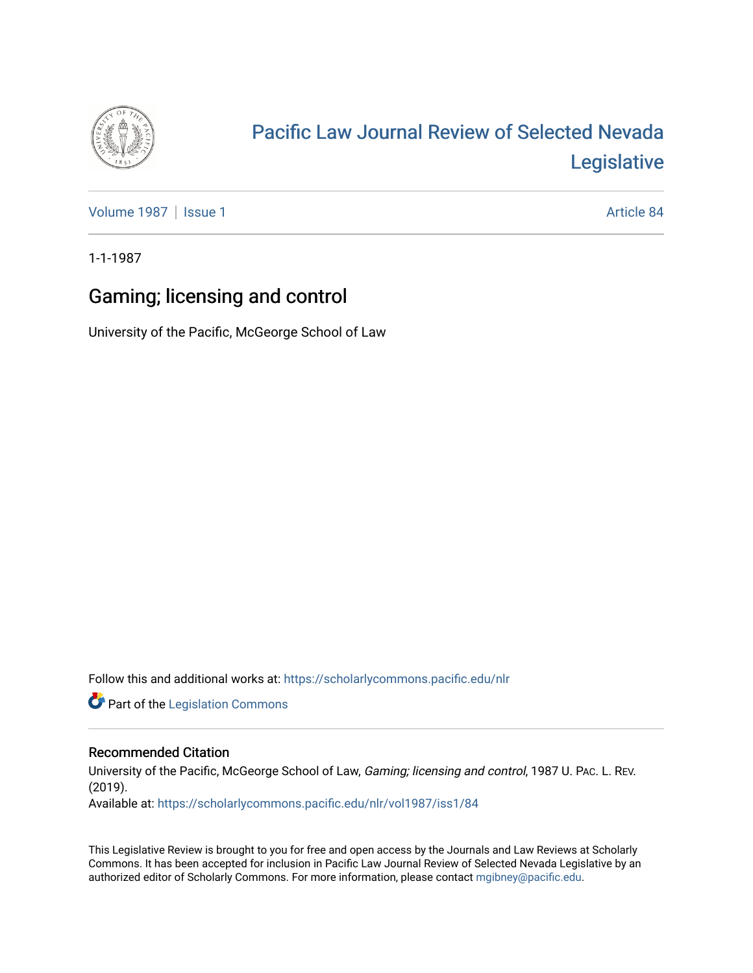

## [Pacific Law Journal Review of Selected Nevada](https://scholarlycommons.pacific.edu/nlr)  [Legislative](https://scholarlycommons.pacific.edu/nlr)

[Volume 1987](https://scholarlycommons.pacific.edu/nlr/vol1987) | [Issue 1](https://scholarlycommons.pacific.edu/nlr/vol1987/iss1) Article 84

1-1-1987

## Gaming; licensing and control

University of the Pacific, McGeorge School of Law

Follow this and additional works at: [https://scholarlycommons.pacific.edu/nlr](https://scholarlycommons.pacific.edu/nlr?utm_source=scholarlycommons.pacific.edu%2Fnlr%2Fvol1987%2Fiss1%2F84&utm_medium=PDF&utm_campaign=PDFCoverPages) 

**Part of the [Legislation Commons](http://network.bepress.com/hgg/discipline/859?utm_source=scholarlycommons.pacific.edu%2Fnlr%2Fvol1987%2Fiss1%2F84&utm_medium=PDF&utm_campaign=PDFCoverPages)** 

## Recommended Citation

University of the Pacific, McGeorge School of Law, Gaming; licensing and control, 1987 U. PAc. L. REV. (2019). Available at: [https://scholarlycommons.pacific.edu/nlr/vol1987/iss1/84](https://scholarlycommons.pacific.edu/nlr/vol1987/iss1/84?utm_source=scholarlycommons.pacific.edu%2Fnlr%2Fvol1987%2Fiss1%2F84&utm_medium=PDF&utm_campaign=PDFCoverPages)

This Legislative Review is brought to you for free and open access by the Journals and Law Reviews at Scholarly Commons. It has been accepted for inclusion in Pacific Law Journal Review of Selected Nevada Legislative by an authorized editor of Scholarly Commons. For more information, please contact [mgibney@pacific.edu](mailto:mgibney@pacific.edu).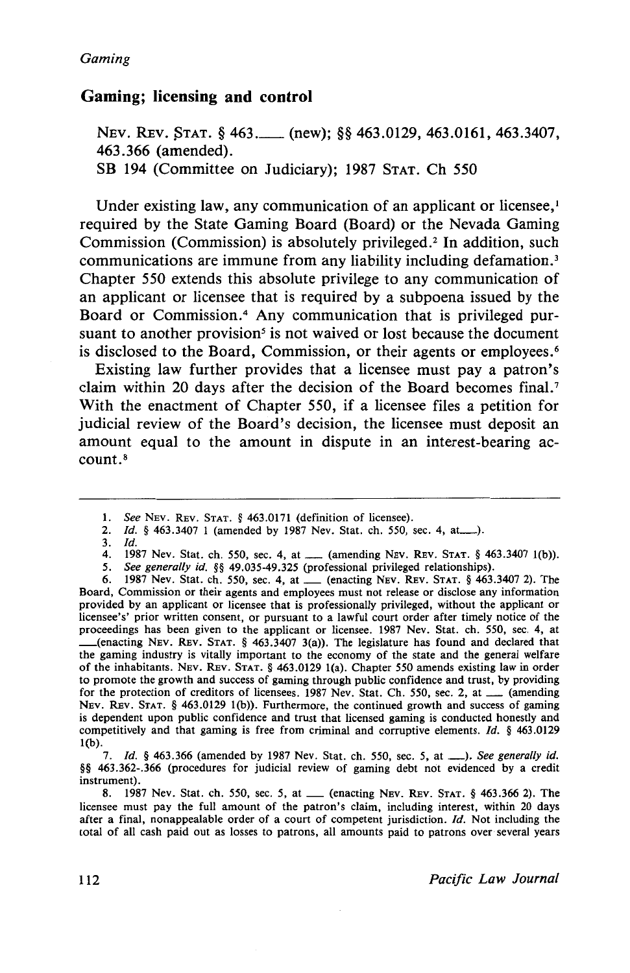## **Gaming; licensing and control**

NEV. REV. STAT. § 463.\_\_\_ (new); §§ 463.0129, 463.0161, 463.3407, 463.366 (amended). SB 194 (Committee on Judiciary); 1987 STAT. Ch 550

Under existing law, any communication of an applicant or licensee.<sup>1</sup> required by the State Gaming Board (Board) or the Nevada Gaming Commission (Commission) is absolutely privileged.<sup>2</sup> In addition, such communications are immune from any liability including defamation. <sup>3</sup> Chapter 550 extends this absolute privilege to any communication of an applicant or licensee that is required by a subpoena issued by the Board or Commission.<sup>4</sup> Any communication that is privileged pursuant to another provision<sup>5</sup> is not waived or lost because the document is disclosed to the Board, Commission, or their agents or employees.<sup>6</sup>

Existing law further provides that a licensee must pay a patron's claim within 20 days after the decision of the Board becomes final.<sup>7</sup> With the enactment of Chapter 550, if a licensee files a petition for judicial review of the Board's decision, the licensee must deposit an amount equal to the amount in dispute in an interest-bearing account.8

6. 1987 Nev. Stat. ch. *550,* sec. 4, at\_ (enacting NEv. REv. STAT. § 463.3407 2). The Board, Commission or their agents and employees must not release or disclose any information provided by an applicant or licensee that is professionally privileged, without the applicant or licensee's' prior written consent, or pursuant to a lawful court order after timely notice of the proceedings has been given to the applicant or licensee. 1987 Nev. Stat. ch. *550,* sec. 4, at \_(enacting NEv. REv. STAT. § 463.3407 3(a)). The legislature has found and declared that the gaming industry is vitally important to the economy of the state and the general welfare of the inhabitants. NEv. REv. STAT. § 463.0129 1(a). Chapter *550* amends existing law in order to promote the growth and success of gaming through public confidence and trust, by providing for the protection of creditors of licensees. 1987 Nev. Stat. Ch. 550, sec. 2, at \_\_\_ (amending NEv. REv. STAT. § 463.0129 1(b)). Furthermore, the continued growth and success of gaming is dependent upon public confidence and trust that licensed gaming is conducted honestly and competitively and that gaming is free from criminal and corruptive elements. *Id.* § 463.0129 1(b).

7. *Id.* § 463.366 (amended by 1987 Nev. Stat. ch. *550,* sec. *5,* at\_). *See generally id.*  §§ 463.362-.366 (procedures for judicial review of gaming debt not evidenced by a credit instrument).

8. 1987 Nev. Stat. ch. *550,* sec. *5,* at\_ (enacting NEv. REv. STAT. § 463.366 2). The licensee must pay the full amount of the patron's claim, including interest, within 20 days after a final, nonappealable order of a court of competent jurisdiction. *Id.* Not including the total of all cash paid out as losses to patrons, all amounts paid to patrons over several years

<sup>1.</sup> *See* NEv. REv. STAT. § 463.0171 (definition of licensee).

<sup>2.</sup> *Id.* § 463.3407 1 (amended by 1987 Nev. Stat. ch. *550,* sec. 4, at\_).

<sup>3.</sup> *ld.* 

<sup>4. 1987</sup> Nev. Stat. ch. 550, sec. 4, at \_\_\_ (amending NEV. REV. STAT. § 463.3407 1(b)).

*<sup>5.</sup> See generally id.* §§ 49.035-49.325 (professional privileged relationships).